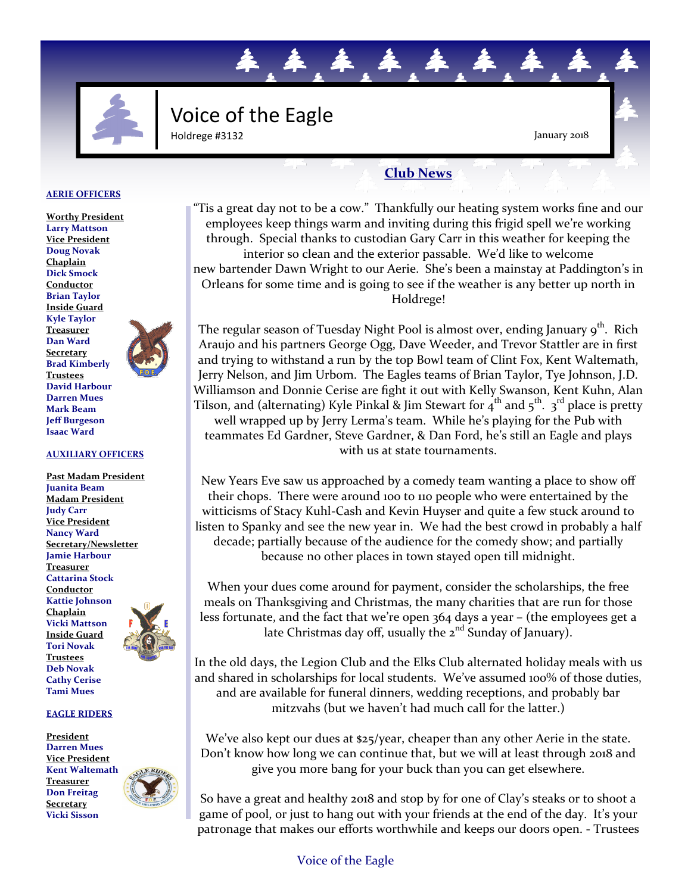

## Voice of the Eagle Holdrege #3132

January 2018

### **Club News**

.本.本.本.本

#### **AERIE OFFICERS**

**Worthy President Larry Mattson Vice President Doug Novak Chaplain Dick Smock Conductor Brian Taylor Inside Guard Kyle Taylor Treasurer Dan Ward Secretary Brad Kimberly Trustees David Harbour Darren Mues Mark Beam Jeff Burgeson Isaac Ward**



#### **AUXILIARY OFFICERS**

**Past Madam President Juanita Beam Madam President Judy Carr Vice President Nancy Ward Secretary/Newsletter Jamie Harbour Treasurer Cattarina Stock Conductor Kattie Johnson Chaplain Vicki Mattson Inside Guard Tori Novak Trustees Deb Novak Cathy Cerise Tami Mues**



**EAGLE RIDERS**

**President Darren Mues Vice President Kent Waltemath Treasurer Don Freitag Secretary Vicki Sisson**



"Tis a great day not to be a cow." Thankfully our heating system works fine and our employees keep things warm and inviting during this frigid spell we're working through. Special thanks to custodian Gary Carr in this weather for keeping the interior so clean and the exterior passable. We'd like to welcome new bartender Dawn Wright to our Aerie. She's been a mainstay at Paddington's in Orleans for some time and is going to see if the weather is any better up north in Holdrege!

The regular season of Tuesday Night Pool is almost over, ending January 9<sup>th</sup>. Rich Araujo and his partners George Ogg, Dave Weeder, and Trevor Stattler are in first and trying to withstand a run by the top Bowl team of Clint Fox, Kent Waltemath, Jerry Nelson, and Jim Urbom. The Eagles teams of Brian Taylor, Tye Johnson, J.D. Williamson and Donnie Cerise are fight it out with Kelly Swanson, Kent Kuhn, Alan Tilson, and (alternating) Kyle Pinkal & Jim Stewart for  $4^{th}$  and  $5^{th}$ .  $3^{rd}$  place is pretty well wrapped up by Jerry Lerma's team. While he's playing for the Pub with teammates Ed Gardner, Steve Gardner, & Dan Ford, he's still an Eagle and plays with us at state tournaments.

New Years Eve saw us approached by a comedy team wanting a place to show off their chops. There were around 100 to 110 people who were entertained by the witticisms of Stacy Kuhl-Cash and Kevin Huyser and quite a few stuck around to listen to Spanky and see the new year in. We had the best crowd in probably a half decade; partially because of the audience for the comedy show; and partially because no other places in town stayed open till midnight.

When your dues come around for payment, consider the scholarships, the free meals on Thanksgiving and Christmas, the many charities that are run for those less fortunate, and the fact that we're open 364 days a year – (the employees get a late Christmas day off, usually the  $2<sup>nd</sup>$  Sunday of January).

In the old days, the Legion Club and the Elks Club alternated holiday meals with us and shared in scholarships for local students. We've assumed 100% of those duties, and are available for funeral dinners, wedding receptions, and probably bar mitzvahs (but we haven't had much call for the latter.)

We've also kept our dues at \$25/year, cheaper than any other Aerie in the state. Don't know how long we can continue that, but we will at least through 2018 and give you more bang for your buck than you can get elsewhere.

So have a great and healthy 2018 and stop by for one of Clay's steaks or to shoot a game of pool, or just to hang out with your friends at the end of the day. It's your patronage that makes our efforts worthwhile and keeps our doors open. - Trustees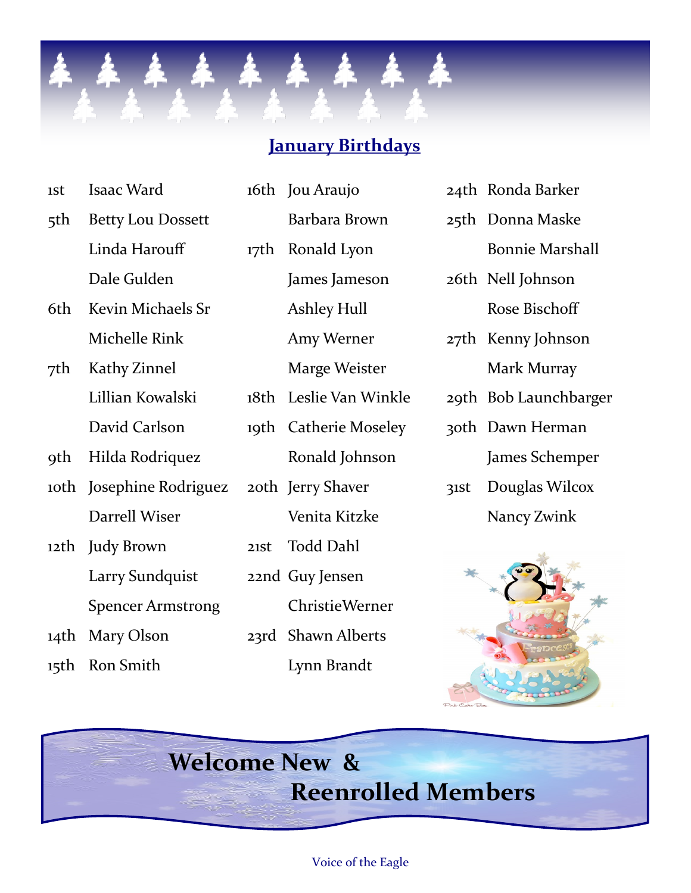

## **January Birthdays**

| 1St a | Isaac Ward            |  |  |
|-------|-----------------------|--|--|
|       | 5th Betty Lou Dossett |  |  |
|       | Linda Harouff         |  |  |
|       | Dale Gulden           |  |  |

- 6th Kevin Michaels Sr Michelle Rink
- 7th Kathy Zinnel Lillian Kowalski David Carlson
- 9th Hilda Rodriquez
- 10th Josephine Rodriguez Darrell Wiser
- 12th Judy Brown Larry Sundquist Spencer Armstrong
- 14th Mary Olson
- 15th Ron Smith

16th Jou Araujo Barbara Brown 17th Ronald Lyon James Jameson Ashley Hull Amy Werner Marge Weister 18th Leslie Van Winkle 19th Catherie Moseley Ronald Johnson 20th Jerry Shaver Venita Kitzke 21st Todd Dahl 22nd Guy Jensen ChristieWerner 23rd Shawn Alberts Lynn Brandt

- 24th Ronda Barker
- 25th Donna Maske
	- Bonnie Marshall
- 26th Nell Johnson Rose Bischoff
- 27th Kenny Johnson Mark Murray
- 29th Bob Launchbarger
- 30th Dawn Herman James Schemper
- 31st Douglas Wilcox Nancy Zwink



# **Welcome New & Reenrolled Members**

#### Voice of the Eagle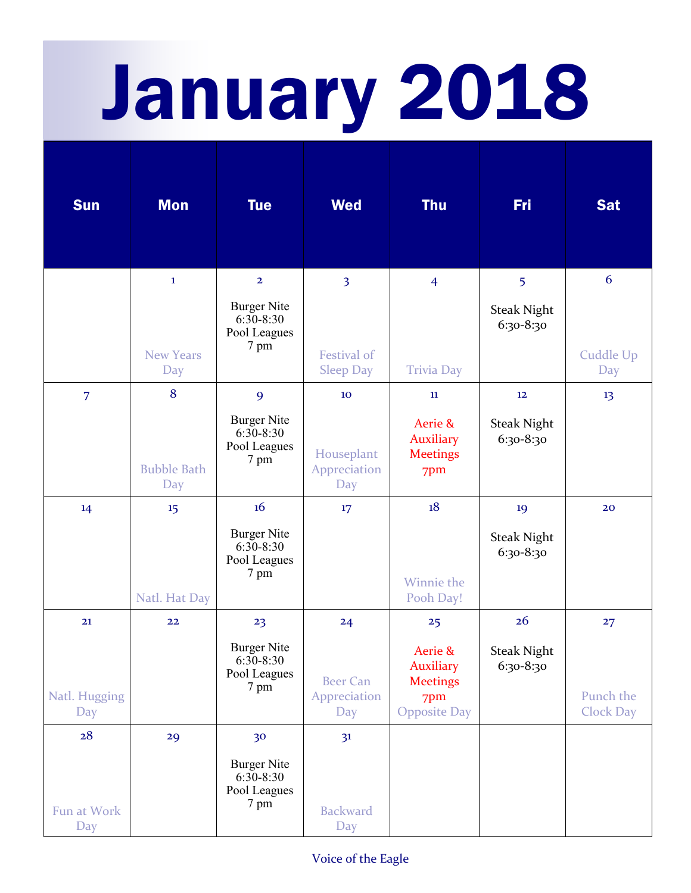# January 2018

| <b>Sun</b>           | <b>Mon</b>                | <b>Tue</b>                                                  | <b>Wed</b>                             | <b>Thu</b>                                                                   | <b>Fri</b>                      | <b>Sat</b>                    |
|----------------------|---------------------------|-------------------------------------------------------------|----------------------------------------|------------------------------------------------------------------------------|---------------------------------|-------------------------------|
|                      | $\mathbf{1}$              | $\overline{2}$                                              | $\overline{3}$                         | $\overline{4}$                                                               | 5                               | 6                             |
|                      |                           | <b>Burger Nite</b><br>$6:30-8:30$<br>Pool Leagues           |                                        |                                                                              | <b>Steak Night</b><br>6:30-8:30 |                               |
|                      | <b>New Years</b><br>Day   | 7 pm                                                        | Festival of<br><b>Sleep Day</b>        | <b>Trivia Day</b>                                                            |                                 | Cuddle Up<br>Day              |
| $\overline{7}$       | 8                         | 9                                                           | 10                                     | 11                                                                           | 12                              | 13                            |
|                      | <b>Bubble Bath</b><br>Day | <b>Burger Nite</b><br>$6:30 - 8:30$<br>Pool Leagues<br>7 pm | Houseplant<br>Appreciation<br>Day      | Aerie &<br><b>Auxiliary</b><br><b>Meetings</b><br>7pm                        | <b>Steak Night</b><br>6:30-8:30 |                               |
| 14                   | 15                        | 16                                                          | 17                                     | 18                                                                           | 19                              | 20                            |
|                      | Natl. Hat Day             | <b>Burger Nite</b><br>$6:30-8:30$<br>Pool Leagues<br>7 pm   |                                        | Winnie the<br>Pooh Day!                                                      | <b>Steak Night</b><br>6:30-8:30 |                               |
| 21                   | 22                        | 23                                                          | 24                                     | 25                                                                           | 26                              | 27                            |
| Natl. Hugging<br>Day |                           | <b>Burger Nite</b><br>$6:30-8:30$<br>Pool Leagues<br>7 pm   | <b>Beer Can</b><br>Appreciation<br>Day | Aerie &<br><b>Auxiliary</b><br><b>Meetings</b><br>7pm<br><b>Opposite Day</b> | <b>Steak Night</b><br>6:30-8:30 | Punch the<br><b>Clock Day</b> |
| 28                   | 29                        | 30                                                          | 3 <sup>1</sup>                         |                                                                              |                                 |                               |
| Fun at Work<br>Day   |                           | <b>Burger Nite</b><br>$6:30-8:30$<br>Pool Leagues<br>7 pm   | <b>Backward</b><br>Day                 |                                                                              |                                 |                               |

#### Voice of the Eagle